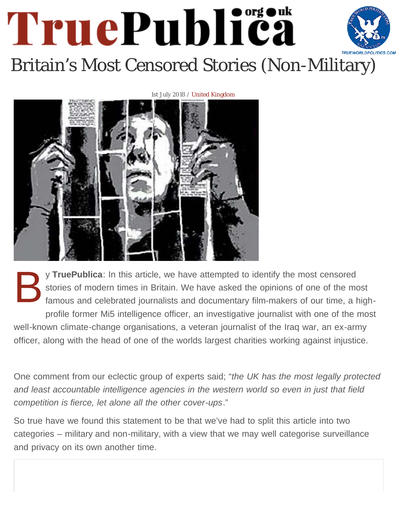# TruePublica [Britain's Most Censored Stories \(Non-Mil](http://truepublica.org.uk/united-kingdom/britains-most-censored-stories-non-military/)itary)

#### 1st July 2018 / United Kingdom



By **TruePublica**: In this article, we have attempted to identify the most censored stories of modern times in Britain. We have asked the opinions of one of the most famous and celebrated journalists and documentary film-makers of our time, a highprofile former Mi5 intelligence officer, an investigative journalist with one of the most well-known climate-change organisations, a veteran journalist of the Iraq war, an ex-army officer, along with the head of one of the worlds largest charities working against injustice.

One comment from our eclectic group of experts said; "*the UK has the most legally protected and least accountable intelligence agencies in the western world so even in just that field competition is fierce, let alone all the other cover-ups*."

So true have we found this statement to be that we've had to split this article into two categories – military and non-military, with a view that we may well categorise surveillance and privacy on its own another time.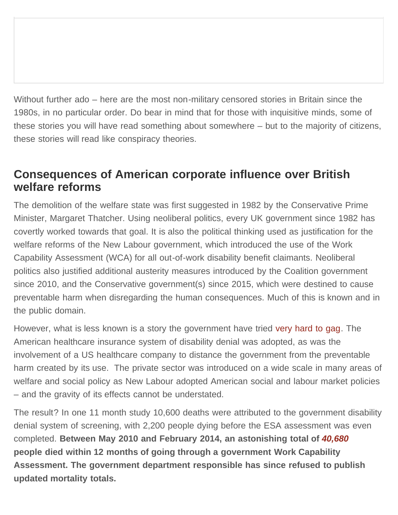Without further ado – here are the most non-military censored stories in Britain since the 1980s, in no particular order. Do bear in mind that for those with inquisitive minds, some of these stories you will have read something about somewhere – but to the majority of citizens, these stories will read like conspiracy theories.

# **Consequences of American corporate influence over British welfare reforms**

The demolition of the welfare state was first suggested in 1982 by the Conservative Prime Minister, Margaret Thatcher. Using neoliberal politics, every UK government since 1982 has covertly worked towards that goal. It is also the political thinking used as justification for the welfare reforms of the New Labour government, which introduced the use of the Work Capability Assessment (WCA) for all out-of-work disability benefit claimants. Neoliberal politics also justified additional austerity measures introduced by the Coalition government since 2010, and the Conservative government(s) since 2015, which were destined to cause preventable harm when disregarding the human consequences. Much of this is known and in the public domain.

However, what is less known is a story the government have tried [very hard to gag.](http://truepublica.org.uk/united-kingdom/research-paper-state-crime-by-proxy-corporate-influence-on-state-sanctioned-social-harm/) The American healthcare insurance system of disability denial was adopted, as was the involvement of a US healthcare company to distance the government from the preventable harm created by its use. The private sector was introduced on a wide scale in many areas of welfare and social policy as New Labour adopted American social and labour market policies – and the gravity of its effects cannot be understated.

The result? In one 11 month study 10,600 deaths were attributed to the government disability denial system of screening, with 2,200 people dying before the ESA assessment was even completed. **Between May 2010 and February 2014, an astonishing total of** *[40,680](https://assets.publishing.service.gov.uk/government/uploads/system/uploads/attachment_data/file/459106/mortality-statistics-esa-ib-sda.pdf)* **people died within 12 months of going through a government Work Capability Assessment. The government department responsible has since refused to publish updated mortality totals.**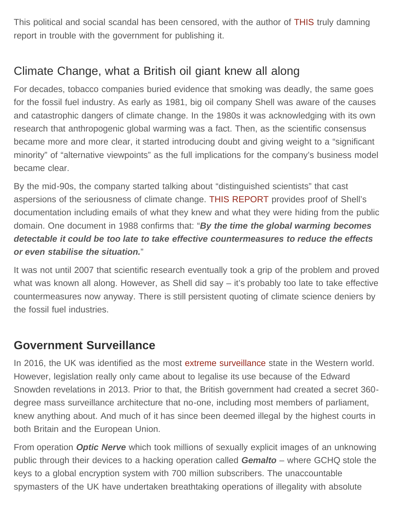This political and social scandal has been censored, with the author of [THIS](http://truepublica.org.uk/united-kingdom/research-paper-state-crime-by-proxy-corporate-influence-on-state-sanctioned-social-harm/) truly damning report in trouble with the government for publishing it.

# Climate Change, what a British oil giant knew all along

For decades, tobacco companies buried evidence that smoking was deadly, the same goes for the fossil fuel industry. As early as 1981, big oil company Shell was aware of the causes and catastrophic dangers of climate change. In the 1980s it was acknowledging with its own research that anthropogenic global warming was a fact. Then, as the scientific consensus became more and more clear, it started introducing doubt and giving weight to a "significant minority" of "alternative viewpoints" as the full implications for the company's business model became clear.

By the mid-90s, the company started talking about "distinguished scientists" that cast aspersions of the seriousness of climate change. [THIS REPORT](http://truepublica.org.uk/united-kingdom/what-30-years-of-documents-show-shell-knew-about-climate-science/) provides proof of Shell's documentation including emails of what they knew and what they were hiding from the public domain. One document in 1988 confirms that: "*By the time the global warming becomes detectable it could be too late to take effective countermeasures to reduce the effects or even stabilise the situation.*"

It was not until 2007 that scientific research eventually took a grip of the problem and proved what was known all along. However, as Shell did say – it's probably too late to take effective countermeasures now anyway. There is still persistent quoting of climate science deniers by the fossil fuel industries.

# **Government Surveillance**

In 2016, the UK was identified as the most [extreme surveillance](https://www.theguardian.com/world/2016/nov/19/extreme-surveillance-becomes-uk-law-with-barely-a-whimper) state in the Western world. However, legislation really only came about to legalise its use because of the Edward Snowden revelations in 2013. Prior to that, the British government had created a secret 360 degree mass surveillance architecture that no-one, including most members of parliament, knew anything about. And much of it has since been deemed illegal by the highest courts in both Britain and the European Union.

From operation *Optic Nerve* which took millions of sexually explicit images of an unknowing public through their devices to a hacking operation called *Gemalto* – where GCHQ stole the keys to a global encryption system with 700 million subscribers. The unaccountable spymasters of the UK have undertaken breathtaking operations of illegality with absolute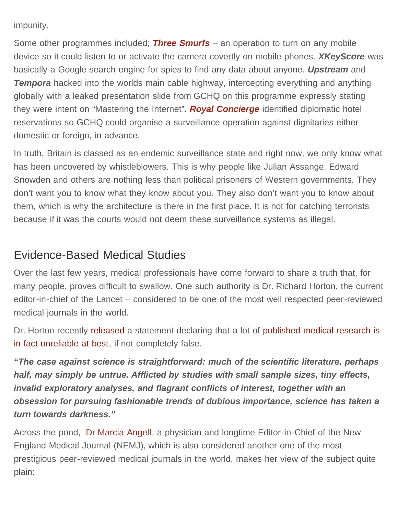impunity.

Some other programmes included; *[Three Smurfs](http://truepublica.org.uk/wp-admin/post.php?post=11558&action=edit)* – an operation to turn on any mobile device so it could listen to or activate the camera covertly on mobile phones. *XKeyScore* was basically a Google search engine for spies to find any data about anyone. *Upstream* and **Tempora** hacked into the worlds main cable highway, intercepting everything and anything globally with a leaked presentation slide from GCHQ on this programme expressly stating they were intent on "Mastering the Internet". *[Royal Concierge](https://archive.org/details/gchq-royal-concierge)* identified diplomatic hotel reservations so GCHQ could organise a surveillance operation against dignitaries either domestic or foreign, in advance.

In truth, Britain is classed as an endemic surveillance state and right now, we only know what has been uncovered by whistleblowers. This is why people like Julian Assange, Edward Snowden and others are nothing less than political prisoners of Western governments. They don't want you to know what they know about you. They also don't want you to know about them, which is why the architecture is there in the first place. It is not for catching terrorists because if it was the courts would not deem these surveillance systems as illegal.

# Evidence-Based Medical Studies

Over the last few years, medical professionals have come forward to share a truth that, for many people, proves difficult to swallow. One such authority is Dr. Richard Horton, the current editor-in-chief of the Lancet – considered to be one of the most well respected peer-reviewed medical journals in the world.

Dr. Horton recently [released](http://truepublica.org.uk/global/top-censored-story-lies-evidence-based-medical-studies/) a statement declaring that a lot of [published medical research is](http://www.collective-evolution.com/2015/05/16/editor-in-chief-of-worlds-best-known-medical-journal-half-of-all-the-literature-is-false/) [in fact unreliable at best](http://www.collective-evolution.com/2015/05/16/editor-in-chief-of-worlds-best-known-medical-journal-half-of-all-the-literature-is-false/), if not completely false.

*"The case against science is straightforward: much of the scientific literature, perhaps half, may simply be untrue. Afflicted by studies with small sample sizes, tiny effects, invalid exploratory analyses, and flagrant conflicts of interest, together with an obsession for pursuing fashionable trends of dubious importance, science has taken a turn towards darkness."*

Across the pond, [Dr Marcia Angell](http://truepublica.org.uk/global/top-censored-story-lies-evidence-based-medical-studies/), a physician and longtime Editor-in-Chief of the New England Medical Journal (NEMJ), which is also considered another one of the most prestigious peer-reviewed medical journals in the world, makes her view of the subject quite plain: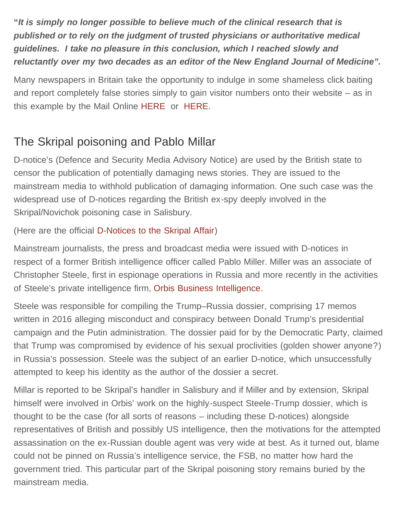**"***It is simply no longer possible to believe much of the clinical research that is published or to rely on the judgment of trusted physicians or authoritative medical guidelines. I take no pleasure in this conclusion, which I reached slowly and reluctantly over my two decades as an editor of the New England Journal of Medicine".*

Many newspapers in Britain take the opportunity to indulge in some shameless click baiting and report completely false stories simply to gain visitor numbers onto their website – as in this example by the Mail Online [HERE](https://www.nhs.uk/news/neurology/claims-breakthrough-alzheimers-patients-lack-merit/) or [HERE.](http://www.nhs.uk/news/2015/06June/Pages/A-case-report-about-skinny-jeans-sparks-media-frenzy.aspx)

# The Skripal poisoning and Pablo Millar

D-notice's (Defence and Security Media Advisory Notice) are used by the British state to censor the publication of potentially damaging news stories. They are issued to the mainstream media to withhold publication of damaging information. One such case was the widespread use of D-notices regarding the British ex-spy deeply involved in the Skripal/Novichok poisoning case in Salisbury.

(Here are the official [D-Notices to the Skripal Affair\)](http://truepublica.org.uk/united-kingdom/here-are-the-official-state-censorship-documents-relating-to-the-skripal-affair/)

Mainstream journalists, the press and broadcast media were issued with D-notices in respect of a former British intelligence officer called Pablo Miller. Miller was an associate of Christopher Steele, first in espionage operations in Russia and more recently in the activities of Steele's private intelligence firm, [Orbis Business Intelligence.](https://consortiumnews.com/2018/03/13/the-strange-case-of-the-russian-spy-poisoning/?print=print)

Steele was responsible for compiling the Trump–Russia dossier, comprising 17 memos written in 2016 alleging misconduct and conspiracy between Donald Trump's presidential campaign and the Putin administration. The dossier paid for by the Democratic Party, claimed that Trump was compromised by evidence of his sexual proclivities (golden shower anyone?) in Russia's possession. Steele was the subject of an earlier D-notice, which unsuccessfully attempted to keep his identity as the author of the dossier a secret.

Millar is reported to be Skripal's handler in Salisbury and if Miller and by extension, Skripal himself were involved in Orbis' work on the highly-suspect Steele-Trump dossier, which is thought to be the case (for all sorts of reasons – including these D-notices) alongside representatives of British and possibly US intelligence, then the motivations for the attempted assassination on the ex-Russian double agent was very wide at best. As it turned out, blame could not be pinned on Russia's intelligence service, the FSB, no matter how hard the government tried. This particular part of the Skripal poisoning story remains buried by the mainstream media.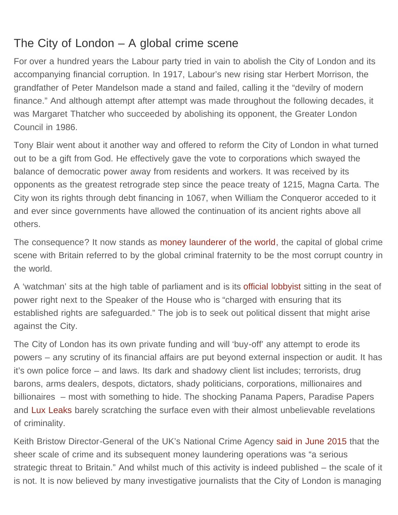# The City of London – A global crime scene

For over a hundred years the Labour party tried in vain to abolish the City of London and its accompanying financial corruption. In 1917, Labour's new rising star Herbert Morrison, the grandfather of Peter Mandelson made a stand and failed, calling it the "devilry of modern finance." And although attempt after attempt was made throughout the following decades, it was Margaret Thatcher who succeeded by abolishing its opponent, the Greater London Council in 1986.

Tony Blair went about it another way and offered to reform the City of London in what turned out to be a gift from God. He effectively gave the vote to corporations which swayed the balance of democratic power away from residents and workers. It was received by its opponents as the greatest retrograde step since the peace treaty of 1215, Magna Carta. The City won its rights through debt financing in 1067, when William the Conqueror acceded to it and ever since governments have allowed the continuation of its ancient rights above all others.

The consequence? It now stands as [money launderer of the world,](http://truepublica.org.uk/united-kingdom/city-london-centre-global-crime-scene/) the capital of global crime scene with Britain referred to by the global criminal fraternity to be the most corrupt country in the world.

A 'watchman' sits at the high table of parliament and is its [official lobbyist](https://www.theguardian.com/commentisfree/2011/oct/31/corporation-london-city-medieval) sitting in the seat of power right next to the Speaker of the House who is "charged with ensuring that its established rights are safeguarded." The job is to seek out political dissent that might arise against the City.

The City of London has its own private funding and will 'buy-off' any attempt to erode its powers – any scrutiny of its financial affairs are put beyond external inspection or audit. It has it's own police force – and laws. Its dark and shadowy client list includes; terrorists, drug barons, arms dealers, despots, dictators, shady politicians, corporations, millionaires and billionaires – most with something to hide. The shocking Panama Papers, Paradise Papers and [Lux Leaks](https://en.wikipedia.org/wiki/Luxembourg_Leaks) barely scratching the surface even with their almost unbelievable revelations of criminality.

Keith Bristow Director-General of the UK's National Crime Agency [said in June 2015](http://www.nationalcrimeagency.gov.uk/publications/560-national-strategic-assessment-of-serious-and-organised-crime-2015/file) that the sheer scale of crime and its subsequent money laundering operations was "a serious strategic threat to Britain." And whilst much of this activity is indeed published – the scale of it is not. It is now believed by many investigative journalists that the City of London is managing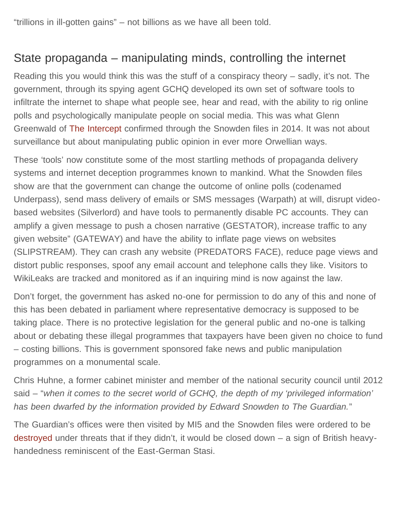"trillions in ill-gotten gains" – not billions as we have all been told.

# State propaganda – manipulating minds, controlling the internet

Reading this you would think this was the stuff of a conspiracy theory – sadly, it's not. The government, through its spying agent GCHQ developed its own set of software tools to infiltrate the internet to shape what people see, hear and read, with the ability to rig online polls and psychologically manipulate people on social media. This was what Glenn Greenwald of [The Intercept](https://theintercept.com/2014/07/14/manipulating-online-polls-ways-british-spies-seek-control-internet/) confirmed through the Snowden files in 2014. It was not about surveillance but about manipulating public opinion in ever more Orwellian ways.

These 'tools' now constitute some of the most startling methods of propaganda delivery systems and internet deception programmes known to mankind. What the Snowden files show are that the government can change the outcome of online polls (codenamed Underpass), send mass delivery of emails or SMS messages (Warpath) at will, disrupt videobased websites (Silverlord) and have tools to permanently disable PC accounts. They can amplify a given message to push a chosen narrative (GESTATOR), increase traffic to any given website" (GATEWAY) and have the ability to inflate page views on websites (SLIPSTREAM). They can crash any website (PREDATORS FACE), reduce page views and distort public responses, spoof any email account and telephone calls they like. Visitors to WikiLeaks are tracked and monitored as if an inquiring mind is now against the law.

Don't forget, the government has asked no-one for permission to do any of this and none of this has been debated in parliament where representative democracy is supposed to be taking place. There is no protective legislation for the general public and no-one is talking about or debating these illegal programmes that taxpayers have been given no choice to fund – costing billions. This is government sponsored fake news and public manipulation programmes on a monumental scale.

Chris Huhne, a former cabinet minister and member of the national security council until 2012 said – "*when it comes to the secret world of GCHQ, the depth of my 'privileged information' has been dwarfed by the information provided by Edward Snowden to The Guardian.*"

The Guardian's offices were then visited by MI5 and the Snowden files were ordered to be [destroyed](https://www.theguardian.com/world/2014/feb/01/edward-snowden-gchq-visit-guardian-destroy-computers) under threats that if they didn't, it would be closed down – a sign of British heavyhandedness reminiscent of the East-German Stasi.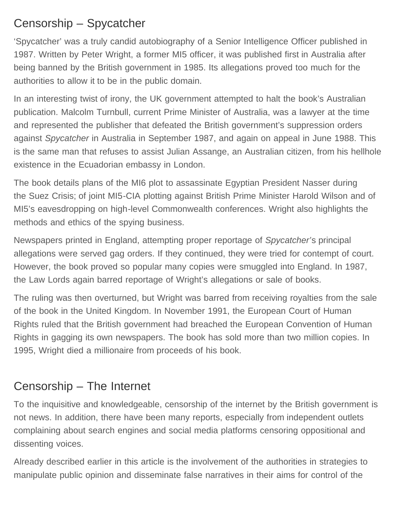# Censorship – Spycatcher

'Spycatcher' was a truly candid autobiography of a Senior Intelligence Officer published in 1987. Written by Peter Wright, a former MI5 officer, it was published first in Australia after being banned by the British government in 1985. Its allegations proved too much for the authorities to allow it to be in the public domain.

In an interesting twist of irony, the UK government attempted to halt the book's Australian publication. Malcolm Turnbull, current Prime Minister of Australia, was a lawyer at the time and represented the publisher that defeated the British government's suppression orders against *Spycatcher* in Australia in September 1987, and again on appeal in June 1988. This is the same man that refuses to assist Julian Assange, an Australian citizen, from his hellhole existence in the Ecuadorian embassy in London.

The book details plans of the MI6 plot to assassinate Egyptian President Nasser during the Suez Crisis; of joint MI5-CIA plotting against British Prime Minister Harold Wilson and of MI5's eavesdropping on high-level Commonwealth conferences. Wright also highlights the methods and ethics of the spying business.

Newspapers printed in England, attempting proper reportage of *Spycatcher'*s principal allegations were served gag orders. If they continued, they were tried for contempt of court. However, the book proved so popular many copies were smuggled into England. In 1987, the Law Lords again barred reportage of Wright's allegations or sale of books.

The ruling was then overturned, but Wright was barred from receiving royalties from the sale of the book in the United Kingdom. In November 1991, the European Court of Human Rights ruled that the British government had breached the European Convention of Human Rights in gagging its own newspapers. The book has sold more than two million copies. In 1995, Wright died a millionaire from proceeds of his book.

# Censorship – The Internet

To the inquisitive and knowledgeable, censorship of the internet by the British government is not news. In addition, there have been many reports, especially from independent outlets complaining about search engines and social media platforms censoring oppositional and dissenting voices.

Already described earlier in this article is the involvement of the authorities in strategies to manipulate public opinion and disseminate false narratives in their aims for control of the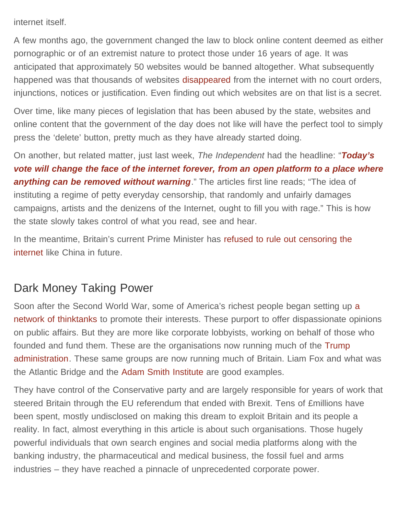internet itself.

A few months ago, the government changed the law to block online content deemed as either pornographic or of an extremist nature to protect those under 16 years of age. It was anticipated that approximately 50 websites would be banned altogether. What subsequently happened was that thousands of websites [disappeared](http://truepublica.org.uk/united-kingdom/proof-that-unaccountable-state-censorship-is-now-fully-operational/) from the internet with no court orders, injunctions, notices or justification. Even finding out which websites are on that list is a secret.

Over time, like many pieces of legislation that has been abused by the state, websites and online content that the government of the day does not like will have the perfect tool to simply press the 'delete' button, pretty much as they have already started doing.

On another, but related matter, just last week, *The Independent* had the headline: "*[Today's](https://www.independent.co.uk/voices/article-13-european-parliament-internet-censorship-copyright-a8408531.html) [vote will change the face of the internet forever, from an open platform to a place where](https://www.independent.co.uk/voices/article-13-european-parliament-internet-censorship-copyright-a8408531.html)* **[anything can be removed without warning](https://www.independent.co.uk/voices/article-13-european-parliament-internet-censorship-copyright-a8408531.html)**." The articles first line reads; "The idea of instituting a regime of petty everyday censorship, that randomly and unfairly damages campaigns, artists and the denizens of the Internet, ought to fill you with rage." This is how the state slowly takes control of what you read, see and hear.

In the meantime, Britain's current Prime Minister has [refused to rule out censoring the](https://www.independent.co.uk/life-style/gadgets-and-tech/news/theresa-may-internet-regulating-regulation-china-general-election-london-attack-bridge-a7774221.html) [internet](https://www.independent.co.uk/life-style/gadgets-and-tech/news/theresa-may-internet-regulating-regulation-china-general-election-london-attack-bridge-a7774221.html) like China in future.

## Dark Money Taking Power

Soon after the Second World War, some of America's richest people began setting up [a](https://www.theguardian.com/books/2016/apr/15/neoliberalism-ideology-problem-george-monbiot) [network of thinktanks](https://www.theguardian.com/books/2016/apr/15/neoliberalism-ideology-problem-george-monbiot) to promote their interests. These purport to offer dispassionate opinions on public affairs. But they are more like corporate lobbyists, working on behalf of those who founded and fund them. These are the organisations now running much of the [Trump](https://www.theguardian.com/commentisfree/2016/nov/30/donald-trump-george-monbiot-misinformation) [administration](https://www.theguardian.com/commentisfree/2016/nov/30/donald-trump-george-monbiot-misinformation). These same groups are now running much of Britain. Liam Fox and what was the Atlantic Bridge and the [Adam Smith Institute](http://truepublica.org.uk/united-kingdom/meet-the-adam-smith-institute-dark-money-promoting-extreme-capitalism/) are good examples.

They have control of the Conservative party and are largely responsible for years of work that steered Britain through the EU referendum that ended with Brexit. Tens of £millions have been spent, mostly undisclosed on making this dream to exploit Britain and its people a reality. In fact, almost everything in this article is about such organisations. Those hugely powerful individuals that own search engines and social media platforms along with the banking industry, the pharmaceutical and medical business, the fossil fuel and arms industries – they have reached a pinnacle of unprecedented corporate power.